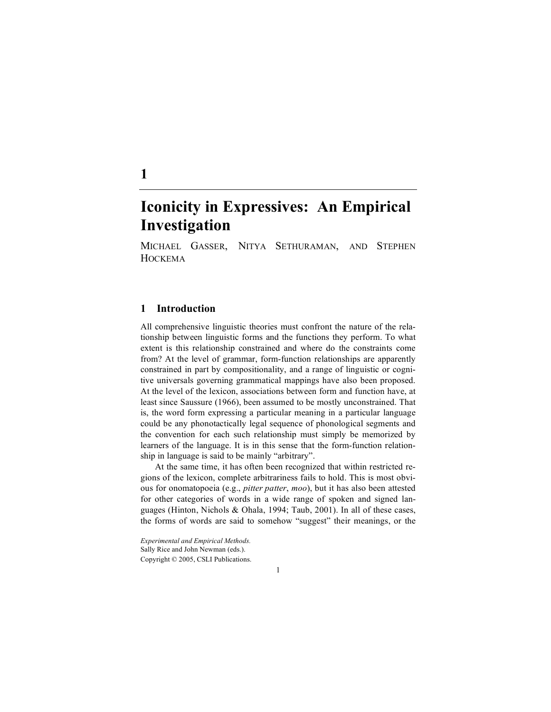# **Iconicity in Expressives: An Empirical Investigation**

MICHAEL GASSER, NITYA SETHURAMAN, AND STEPHEN **HOCKEMA** 

### **1 Introduction**

All comprehensive linguistic theories must confront the nature of the relationship between linguistic forms and the functions they perform. To what extent is this relationship constrained and where do the constraints come from? At the level of grammar, form-function relationships are apparently constrained in part by compositionality, and a range of linguistic or cognitive universals governing grammatical mappings have also been proposed. At the level of the lexicon, associations between form and function have, at least since Saussure (1966), been assumed to be mostly unconstrained. That is, the word form expressing a particular meaning in a particular language could be any phonotactically legal sequence of phonological segments and the convention for each such relationship must simply be memorized by learners of the language. It is in this sense that the form-function relationship in language is said to be mainly "arbitrary".

At the same time, it has often been recognized that within restricted regions of the lexicon, complete arbitrariness fails to hold. This is most obvious for onomatopoeia (e.g., *pitter patter*, *moo*), but it has also been attested for other categories of words in a wide range of spoken and signed languages (Hinton, Nichols & Ohala, 1994; Taub, 2001). In all of these cases, the forms of words are said to somehow "suggest" their meanings, or the

1

*Experimental and Empirical Methods.* Sally Rice and John Newman (eds.). Copyright © 2005, CSLI Publications.

**1**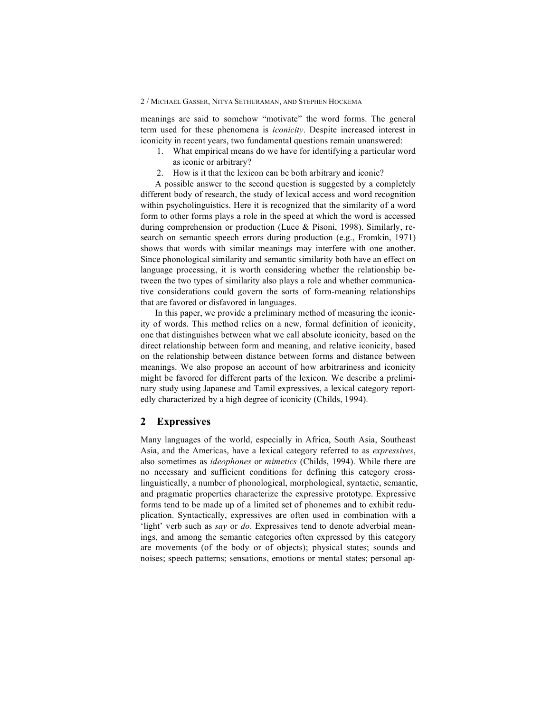#### 2 / MICHAEL GASSER, NITYA SETHURAMAN, AND STEPHEN HOCKEMA

meanings are said to somehow "motivate" the word forms. The general term used for these phenomena is *iconicity*. Despite increased interest in iconicity in recent years, two fundamental questions remain unanswered:

- 1. What empirical means do we have for identifying a particular word as iconic or arbitrary?
- 2. How is it that the lexicon can be both arbitrary and iconic?

A possible answer to the second question is suggested by a completely different body of research, the study of lexical access and word recognition within psycholinguistics. Here it is recognized that the similarity of a word form to other forms plays a role in the speed at which the word is accessed during comprehension or production (Luce & Pisoni, 1998). Similarly, research on semantic speech errors during production (e.g., Fromkin, 1971) shows that words with similar meanings may interfere with one another. Since phonological similarity and semantic similarity both have an effect on language processing, it is worth considering whether the relationship between the two types of similarity also plays a role and whether communicative considerations could govern the sorts of form-meaning relationships that are favored or disfavored in languages.

In this paper, we provide a preliminary method of measuring the iconicity of words. This method relies on a new, formal definition of iconicity, one that distinguishes between what we call absolute iconicity, based on the direct relationship between form and meaning, and relative iconicity, based on the relationship between distance between forms and distance between meanings. We also propose an account of how arbitrariness and iconicity might be favored for different parts of the lexicon. We describe a preliminary study using Japanese and Tamil expressives, a lexical category reportedly characterized by a high degree of iconicity (Childs, 1994).

#### **2 Expressives**

Many languages of the world, especially in Africa, South Asia, Southeast Asia, and the Americas, have a lexical category referred to as *expressives*, also sometimes as *ideophones* or *mimetics* (Childs, 1994). While there are no necessary and sufficient conditions for defining this category crosslinguistically, a number of phonological, morphological, syntactic, semantic, and pragmatic properties characterize the expressive prototype. Expressive forms tend to be made up of a limited set of phonemes and to exhibit reduplication. Syntactically, expressives are often used in combination with a 'light' verb such as *say* or *do*. Expressives tend to denote adverbial meanings, and among the semantic categories often expressed by this category are movements (of the body or of objects); physical states; sounds and noises; speech patterns; sensations, emotions or mental states; personal ap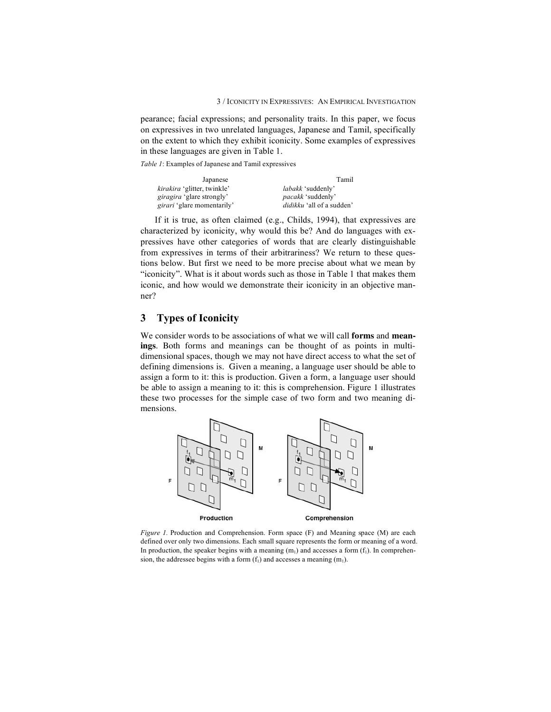pearance; facial expressions; and personality traits. In this paper, we focus on expressives in two unrelated languages, Japanese and Tamil, specifically on the extent to which they exhibit iconicity. Some examples of expressives in these languages are given in Table 1.

*Table 1*: Examples of Japanese and Tamil expressives

| Japanese                           | Tamil                            |
|------------------------------------|----------------------------------|
| <i>kirakira</i> 'glitter, twinkle' | <i>labakk</i> 'suddenly'         |
| <i>giragira</i> 'glare strongly'   | <i>pacakk</i> 'suddenly'         |
| <i>girari</i> 'glare momentarily'  | <i>didikku</i> 'all of a sudden' |

If it is true, as often claimed (e.g., Childs, 1994), that expressives are characterized by iconicity, why would this be? And do languages with expressives have other categories of words that are clearly distinguishable from expressives in terms of their arbitrariness? We return to these questions below. But first we need to be more precise about what we mean by "iconicity". What is it about words such as those in Table 1 that makes them iconic, and how would we demonstrate their iconicity in an objective manner?

## **3 Types of Iconicity**

We consider words to be associations of what we will call **forms** and **meanings**. Both forms and meanings can be thought of as points in multidimensional spaces, though we may not have direct access to what the set of defining dimensions is. Given a meaning, a language user should be able to assign a form to it: this is production. Given a form, a language user should be able to assign a meaning to it: this is comprehension. Figure 1 illustrates these two processes for the simple case of two form and two meaning dimensions.



*Figure 1.* Production and Comprehension. Form space (F) and Meaning space (M) are each defined over only two dimensions. Each small square represents the form or meaning of a word. In production, the speaker begins with a meaning  $(m_1)$  and accesses a form  $(f_1)$ . In comprehension, the addressee begins with a form  $(f_1)$  and accesses a meaning  $(m_1)$ .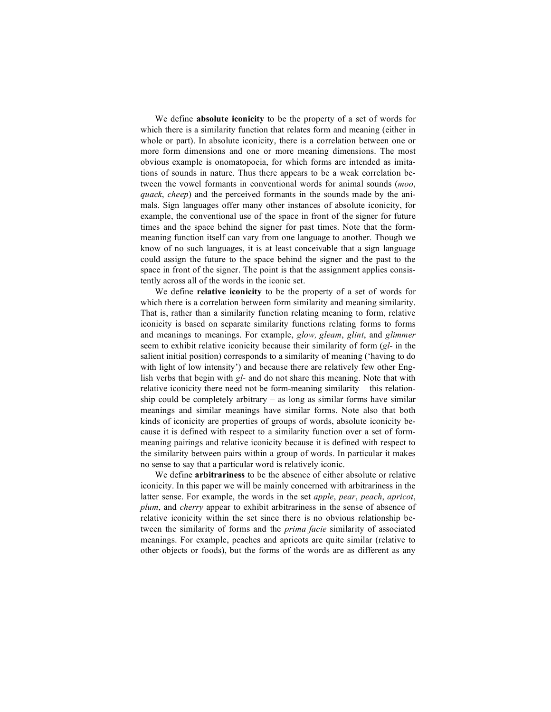We define **absolute iconicity** to be the property of a set of words for which there is a similarity function that relates form and meaning (either in whole or part). In absolute iconicity, there is a correlation between one or more form dimensions and one or more meaning dimensions. The most obvious example is onomatopoeia, for which forms are intended as imitations of sounds in nature. Thus there appears to be a weak correlation between the vowel formants in conventional words for animal sounds (*moo*, *quack*, *cheep*) and the perceived formants in the sounds made by the animals. Sign languages offer many other instances of absolute iconicity, for example, the conventional use of the space in front of the signer for future times and the space behind the signer for past times. Note that the formmeaning function itself can vary from one language to another. Though we know of no such languages, it is at least conceivable that a sign language could assign the future to the space behind the signer and the past to the space in front of the signer. The point is that the assignment applies consistently across all of the words in the iconic set.

We define **relative iconicity** to be the property of a set of words for which there is a correlation between form similarity and meaning similarity. That is, rather than a similarity function relating meaning to form, relative iconicity is based on separate similarity functions relating forms to forms and meanings to meanings. For example, *glow, gleam*, *glint*, and *glimmer* seem to exhibit relative iconicity because their similarity of form (*gl*- in the salient initial position) corresponds to a similarity of meaning ('having to do with light of low intensity') and because there are relatively few other English verbs that begin with *gl-* and do not share this meaning. Note that with relative iconicity there need not be form-meaning similarity – this relationship could be completely arbitrary – as long as similar forms have similar meanings and similar meanings have similar forms. Note also that both kinds of iconicity are properties of groups of words, absolute iconicity because it is defined with respect to a similarity function over a set of formmeaning pairings and relative iconicity because it is defined with respect to the similarity between pairs within a group of words. In particular it makes no sense to say that a particular word is relatively iconic.

We define **arbitrariness** to be the absence of either absolute or relative iconicity. In this paper we will be mainly concerned with arbitrariness in the latter sense. For example, the words in the set *apple*, *pear*, *peach*, *apricot*, *plum*, and *cherry* appear to exhibit arbitrariness in the sense of absence of relative iconicity within the set since there is no obvious relationship between the similarity of forms and the *prima facie* similarity of associated meanings. For example, peaches and apricots are quite similar (relative to other objects or foods), but the forms of the words are as different as any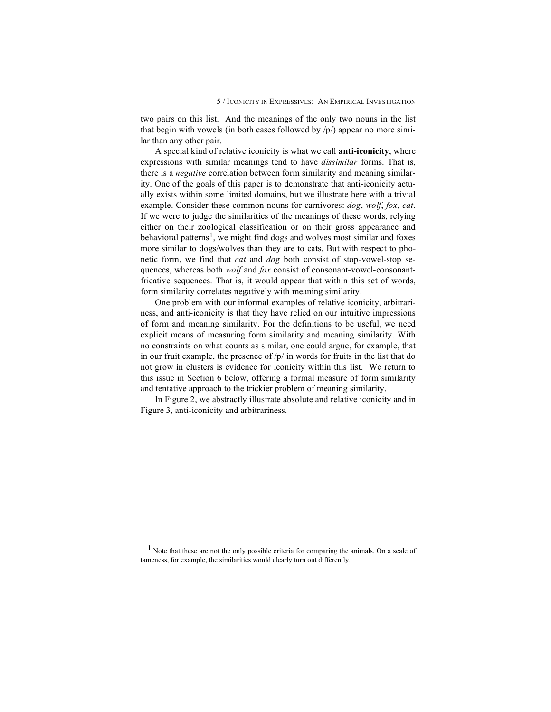two pairs on this list. And the meanings of the only two nouns in the list that begin with vowels (in both cases followed by  $/p/$ ) appear no more similar than any other pair.

A special kind of relative iconicity is what we call **anti-iconicity**, where expressions with similar meanings tend to have *dissimilar* forms. That is, there is a *negative* correlation between form similarity and meaning similarity. One of the goals of this paper is to demonstrate that anti-iconicity actually exists within some limited domains, but we illustrate here with a trivial example. Consider these common nouns for carnivores: *dog*, *wolf*, *fox*, *cat*. If we were to judge the similarities of the meanings of these words, relying either on their zoological classification or on their gross appearance and behavioral patterns<sup>1</sup>, we might find dogs and wolves most similar and foxes more similar to dogs/wolves than they are to cats. But with respect to phonetic form, we find that *cat* and *dog* both consist of stop-vowel-stop sequences, whereas both *wolf* and *fox* consist of consonant-vowel-consonantfricative sequences. That is, it would appear that within this set of words, form similarity correlates negatively with meaning similarity.

One problem with our informal examples of relative iconicity, arbitrariness, and anti-iconicity is that they have relied on our intuitive impressions of form and meaning similarity. For the definitions to be useful, we need explicit means of measuring form similarity and meaning similarity. With no constraints on what counts as similar, one could argue, for example, that in our fruit example, the presence of /p/ in words for fruits in the list that do not grow in clusters is evidence for iconicity within this list. We return to this issue in Section 6 below, offering a formal measure of form similarity and tentative approach to the trickier problem of meaning similarity.

In Figure 2, we abstractly illustrate absolute and relative iconicity and in Figure 3, anti-iconicity and arbitrariness.

 <sup>1</sup> Note that these are not the only possible criteria for comparing the animals. On <sup>a</sup> scale of tameness, for example, the similarities would clearly turn out differently.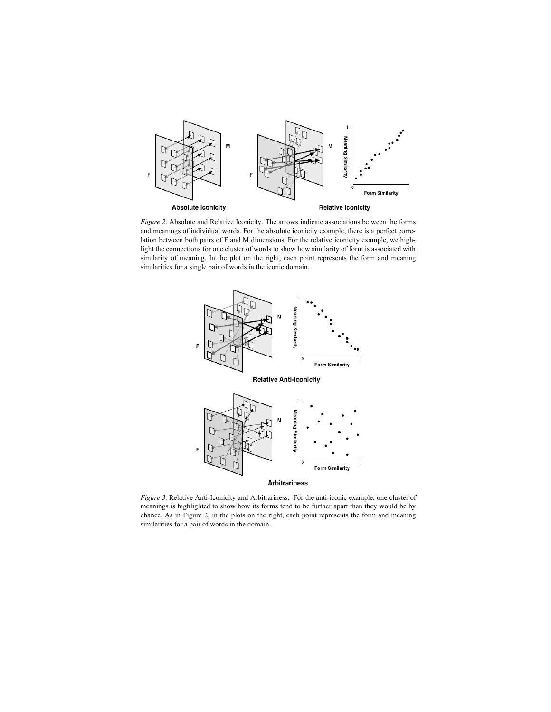

*Figure 2*. Absolute and Relative Iconicity. The arrows indicate associations between the forms and meanings of individual words. For the absolute iconicity example, there is a perfect correlation between both pairs of F and M dimensions. For the relative iconicity example, we highlight the connections for one cluster of words to show how similarity of form is associated with similarity of meaning. In the plot on the right, each point represents the form and meaning similarities for a single pair of words in the iconic domain.



*Figure 3.* Relative Anti-Iconicity and Arbitrariness. For the anti-iconic example, one cluster of meanings is highlighted to show how its forms tend to be further apart than they would be by chance. As in Figure 2, in the plots on the right, each point represents the form and meaning similarities for a pair of words in the domain.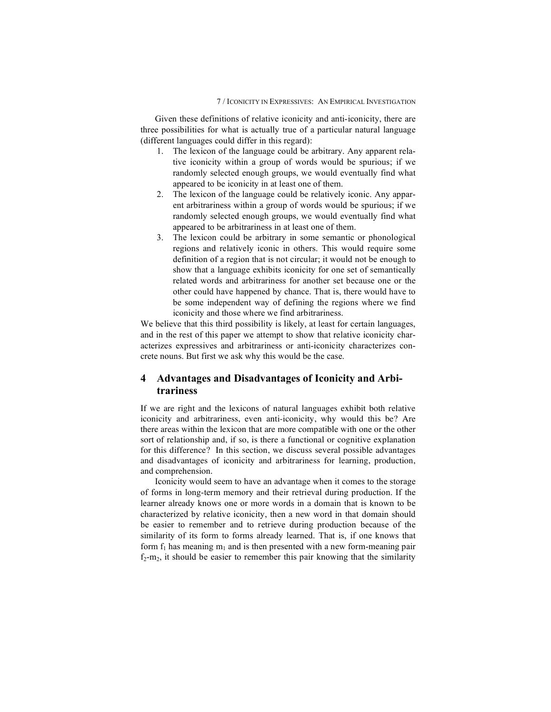Given these definitions of relative iconicity and anti-iconicity, there are three possibilities for what is actually true of a particular natural language (different languages could differ in this regard):

- 1. The lexicon of the language could be arbitrary. Any apparent relative iconicity within a group of words would be spurious; if we randomly selected enough groups, we would eventually find what appeared to be iconicity in at least one of them.
- 2. The lexicon of the language could be relatively iconic. Any apparent arbitrariness within a group of words would be spurious; if we randomly selected enough groups, we would eventually find what appeared to be arbitrariness in at least one of them.
- 3. The lexicon could be arbitrary in some semantic or phonological regions and relatively iconic in others. This would require some definition of a region that is not circular; it would not be enough to show that a language exhibits iconicity for one set of semantically related words and arbitrariness for another set because one or the other could have happened by chance. That is, there would have to be some independent way of defining the regions where we find iconicity and those where we find arbitrariness.

We believe that this third possibility is likely, at least for certain languages, and in the rest of this paper we attempt to show that relative iconicity characterizes expressives and arbitrariness or anti-iconicity characterizes concrete nouns. But first we ask why this would be the case.

## **4 Advantages and Disadvantages of Iconicity and Arbitrariness**

If we are right and the lexicons of natural languages exhibit both relative iconicity and arbitrariness, even anti-iconicity, why would this be? Are there areas within the lexicon that are more compatible with one or the other sort of relationship and, if so, is there a functional or cognitive explanation for this difference? In this section, we discuss several possible advantages and disadvantages of iconicity and arbitrariness for learning, production, and comprehension.

Iconicity would seem to have an advantage when it comes to the storage of forms in long-term memory and their retrieval during production. If the learner already knows one or more words in a domain that is known to be characterized by relative iconicity, then a new word in that domain should be easier to remember and to retrieve during production because of the similarity of its form to forms already learned. That is, if one knows that form  $f_1$  has meaning  $m_1$  and is then presented with a new form-meaning pair  $f_2-m_2$ , it should be easier to remember this pair knowing that the similarity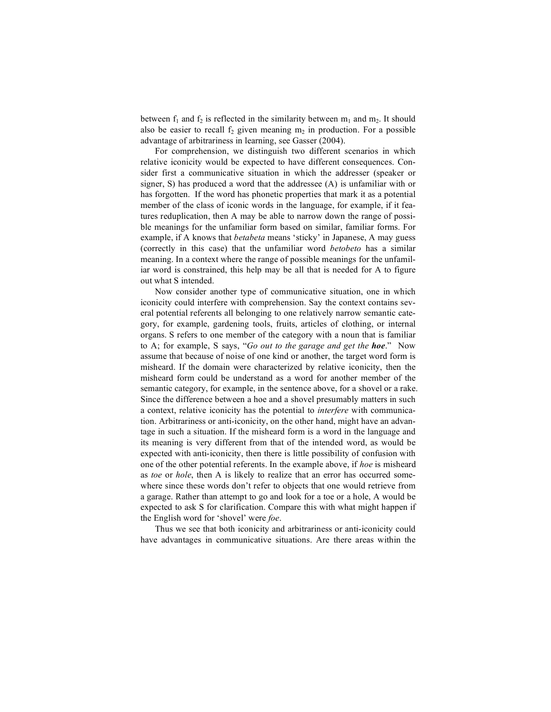between  $f_1$  and  $f_2$  is reflected in the similarity between  $m_1$  and  $m_2$ . It should also be easier to recall  $f_2$  given meaning  $m_2$  in production. For a possible advantage of arbitrariness in learning, see Gasser (2004).

For comprehension, we distinguish two different scenarios in which relative iconicity would be expected to have different consequences. Consider first a communicative situation in which the addresser (speaker or signer, S) has produced a word that the addressee (A) is unfamiliar with or has forgotten. If the word has phonetic properties that mark it as a potential member of the class of iconic words in the language, for example, if it features reduplication, then A may be able to narrow down the range of possible meanings for the unfamiliar form based on similar, familiar forms. For example, if A knows that *betabeta* means 'sticky' in Japanese, A may guess (correctly in this case) that the unfamiliar word *betobeto* has a similar meaning. In a context where the range of possible meanings for the unfamiliar word is constrained, this help may be all that is needed for A to figure out what S intended.

Now consider another type of communicative situation, one in which iconicity could interfere with comprehension. Say the context contains several potential referents all belonging to one relatively narrow semantic category, for example, gardening tools, fruits, articles of clothing, or internal organs. S refers to one member of the category with a noun that is familiar to A; for example, S says, "*Go out to the garage and get the hoe*." Now assume that because of noise of one kind or another, the target word form is misheard. If the domain were characterized by relative iconicity, then the misheard form could be understand as a word for another member of the semantic category, for example, in the sentence above, for a shovel or a rake. Since the difference between a hoe and a shovel presumably matters in such a context, relative iconicity has the potential to *interfere* with communication. Arbitrariness or anti-iconicity, on the other hand, might have an advantage in such a situation. If the misheard form is a word in the language and its meaning is very different from that of the intended word, as would be expected with anti-iconicity, then there is little possibility of confusion with one of the other potential referents. In the example above, if *hoe* is misheard as *toe* or *hole*, then A is likely to realize that an error has occurred somewhere since these words don't refer to objects that one would retrieve from a garage. Rather than attempt to go and look for a toe or a hole, A would be expected to ask S for clarification. Compare this with what might happen if the English word for 'shovel' were *foe*.

Thus we see that both iconicity and arbitrariness or anti-iconicity could have advantages in communicative situations. Are there areas within the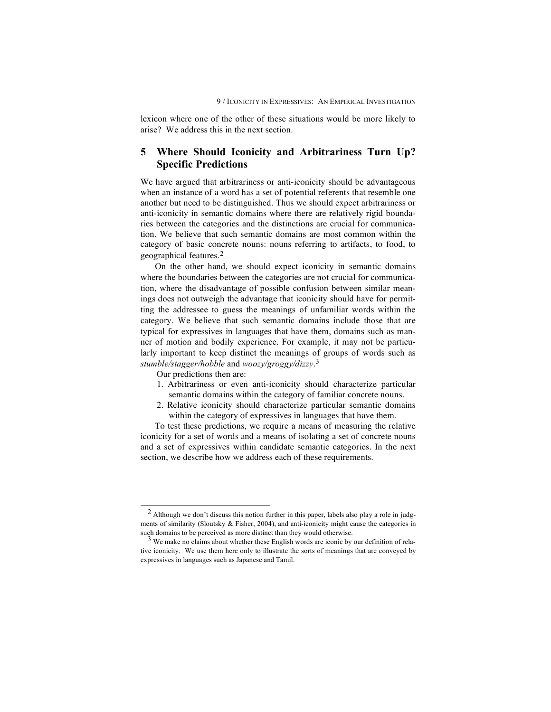lexicon where one of the other of these situations would be more likely to arise? We address this in the next section.

## **5 Where Should Iconicity and Arbitrariness Turn Up? Specific Predictions**

We have argued that arbitrariness or anti-iconicity should be advantageous when an instance of a word has a set of potential referents that resemble one another but need to be distinguished. Thus we should expect arbitrariness or anti-iconicity in semantic domains where there are relatively rigid boundaries between the categories and the distinctions are crucial for communication. We believe that such semantic domains are most common within the category of basic concrete nouns: nouns referring to artifacts, to food, to geographical features. 2

On the other hand, we should expect iconicity in semantic domains where the boundaries between the categories are not crucial for communication, where the disadvantage of possible confusion between similar meanings does not outweigh the advantage that iconicity should have for permitting the addressee to guess the meanings of unfamiliar words within the category. We believe that such semantic domains include those that are typical for expressives in languages that have them, domains such as manner of motion and bodily experience. For example, it may not be particularly important to keep distinct the meanings of groups of words such as *stumble/stagger/hobble* and *woozy/groggy/dizzy*. 3

Our predictions then are:

- 1. Arbitrariness or even anti-iconicity should characterize particular semantic domains within the category of familiar concrete nouns.
- 2. Relative iconicity should characterize particular semantic domains within the category of expressives in languages that have them.

To test these predictions, we require a means of measuring the relative iconicity for a set of words and a means of isolating a set of concrete nouns and a set of expressives within candidate semantic categories. In the next section, we describe how we address each of these requirements.

 <sup>2</sup> Although we don't discuss this notion further in this paper, labels also play <sup>a</sup> role in judgments of similarity (Sloutsky & Fisher, 2004), and anti-iconicity might cause the categories in such domains to be perceived as more distinct than they would otherwise.<br><sup>3</sup> We make no claims about whether these English words are iconic by our definition of rela-

tive iconicity. We use them here only to illustrate the sorts of meanings that are conveyed by expressives in languages such as Japanese and Tamil.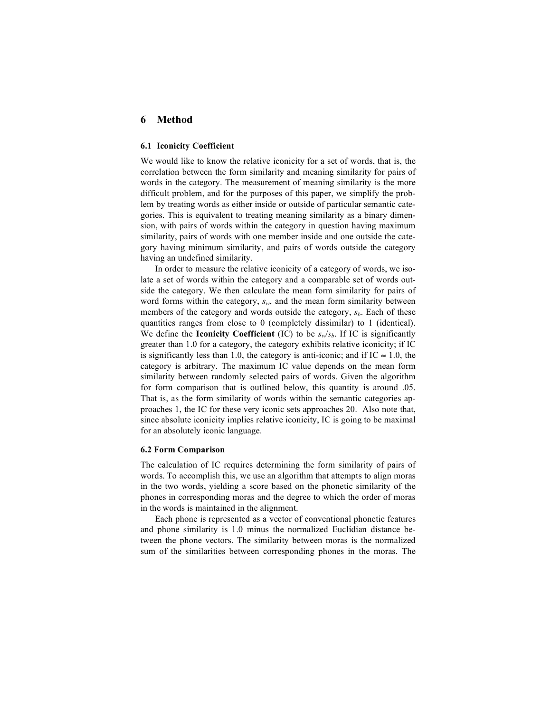## **6 Method**

#### **6.1 Iconicity Coefficient**

We would like to know the relative iconicity for a set of words, that is, the correlation between the form similarity and meaning similarity for pairs of words in the category. The measurement of meaning similarity is the more difficult problem, and for the purposes of this paper, we simplify the problem by treating words as either inside or outside of particular semantic categories. This is equivalent to treating meaning similarity as a binary dimension, with pairs of words within the category in question having maximum similarity, pairs of words with one member inside and one outside the category having minimum similarity, and pairs of words outside the category having an undefined similarity.

In order to measure the relative iconicity of a category of words, we isolate a set of words within the category and a comparable set of words outside the category. We then calculate the mean form similarity for pairs of word forms within the category, *sw*, and the mean form similarity between members of the category and words outside the category,  $s_b$ . Each of these quantities ranges from close to 0 (completely dissimilar) to 1 (identical). We define the **Iconicity Coefficient** (IC) to be  $s_w/s_b$ . If IC is significantly greater than 1.0 for a category, the category exhibits relative iconicity; if IC is significantly less than 1.0, the category is anti-iconic; and if IC  $\approx 1.0$ , the category is arbitrary. The maximum IC value depends on the mean form similarity between randomly selected pairs of words. Given the algorithm for form comparison that is outlined below, this quantity is around .05. That is, as the form similarity of words within the semantic categories approaches 1, the IC for these very iconic sets approaches 20. Also note that, since absolute iconicity implies relative iconicity, IC is going to be maximal for an absolutely iconic language.

#### **6.2 Form Comparison**

The calculation of IC requires determining the form similarity of pairs of words. To accomplish this, we use an algorithm that attempts to align moras in the two words, yielding a score based on the phonetic similarity of the phones in corresponding moras and the degree to which the order of moras in the words is maintained in the alignment.

Each phone is represented as a vector of conventional phonetic features and phone similarity is 1.0 minus the normalized Euclidian distance between the phone vectors. The similarity between moras is the normalized sum of the similarities between corresponding phones in the moras. The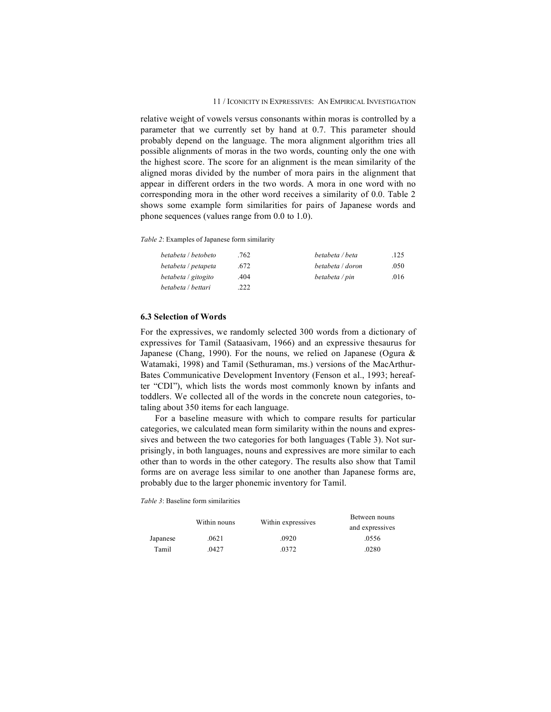relative weight of vowels versus consonants within moras is controlled by a parameter that we currently set by hand at 0.7. This parameter should probably depend on the language. The mora alignment algorithm tries all possible alignments of moras in the two words, counting only the one with the highest score. The score for an alignment is the mean similarity of the aligned moras divided by the number of mora pairs in the alignment that appear in different orders in the two words. A mora in one word with no corresponding mora in the other word receives a similarity of 0.0. Table 2 shows some example form similarities for pairs of Japanese words and phone sequences (values range from 0.0 to 1.0).

*Table 2*: Examples of Japanese form similarity

| betabeta / betobeto | .762 | betabeta / beta  | .125 |
|---------------------|------|------------------|------|
| betabeta / petapeta | .672 | betabeta / doron | .050 |
| betabeta / gitogito | .404 | betabeta / pin   | .016 |
| betabeta / bettari  | .222 |                  |      |

#### **6.3 Selection of Words**

For the expressives, we randomly selected 300 words from a dictionary of expressives for Tamil (Sataasivam, 1966) and an expressive thesaurus for Japanese (Chang, 1990). For the nouns, we relied on Japanese (Ogura  $\&$ Watamaki, 1998) and Tamil (Sethuraman, ms.) versions of the MacArthur-Bates Communicative Development Inventory (Fenson et al., 1993; hereafter "CDI"), which lists the words most commonly known by infants and toddlers. We collected all of the words in the concrete noun categories, totaling about 350 items for each language.

For a baseline measure with which to compare results for particular categories, we calculated mean form similarity within the nouns and expressives and between the two categories for both languages (Table 3). Not surprisingly, in both languages, nouns and expressives are more similar to each other than to words in the other category. The results also show that Tamil forms are on average less similar to one another than Japanese forms are, probably due to the larger phonemic inventory for Tamil.

*Table 3*: Baseline form similarities

|          | Within nouns | Within expressives | Between nouns   |
|----------|--------------|--------------------|-----------------|
|          |              |                    | and expressives |
| Japanese | .0621        | .0920              | .0556           |
| Tamil    | .0427        | 0372               | .0280           |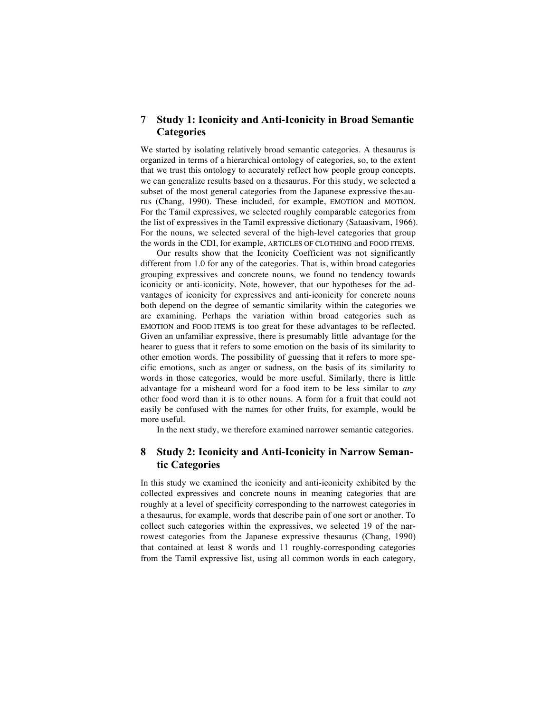## **7 Study 1: Iconicity and Anti-Iconicity in Broad Semantic Categories**

We started by isolating relatively broad semantic categories. A thesaurus is organized in terms of a hierarchical ontology of categories, so, to the extent that we trust this ontology to accurately reflect how people group concepts, we can generalize results based on a thesaurus. For this study, we selected a subset of the most general categories from the Japanese expressive thesaurus (Chang, 1990). These included, for example, EMOTION and MOTION. For the Tamil expressives, we selected roughly comparable categories from the list of expressives in the Tamil expressive dictionary (Sataasivam, 1966). For the nouns, we selected several of the high-level categories that group the words in the CDI, for example, ARTICLES OF CLOTHING and FOOD ITEMS.

Our results show that the Iconicity Coefficient was not significantly different from 1.0 for any of the categories. That is, within broad categories grouping expressives and concrete nouns, we found no tendency towards iconicity or anti-iconicity. Note, however, that our hypotheses for the advantages of iconicity for expressives and anti-iconicity for concrete nouns both depend on the degree of semantic similarity within the categories we are examining. Perhaps the variation within broad categories such as EMOTION and FOOD ITEMS is too great for these advantages to be reflected. Given an unfamiliar expressive, there is presumably little advantage for the hearer to guess that it refers to some emotion on the basis of its similarity to other emotion words. The possibility of guessing that it refers to more specific emotions, such as anger or sadness, on the basis of its similarity to words in those categories, would be more useful. Similarly, there is little advantage for a misheard word for a food item to be less similar to *any* other food word than it is to other nouns. A form for a fruit that could not easily be confused with the names for other fruits, for example, would be more useful.

In the next study, we therefore examined narrower semantic categories.

## **8 Study 2: Iconicity and Anti-Iconicity in Narrow Semantic Categories**

In this study we examined the iconicity and anti-iconicity exhibited by the collected expressives and concrete nouns in meaning categories that are roughly at a level of specificity corresponding to the narrowest categories in a thesaurus, for example, words that describe pain of one sort or another. To collect such categories within the expressives, we selected 19 of the narrowest categories from the Japanese expressive thesaurus (Chang, 1990) that contained at least 8 words and 11 roughly-corresponding categories from the Tamil expressive list, using all common words in each category,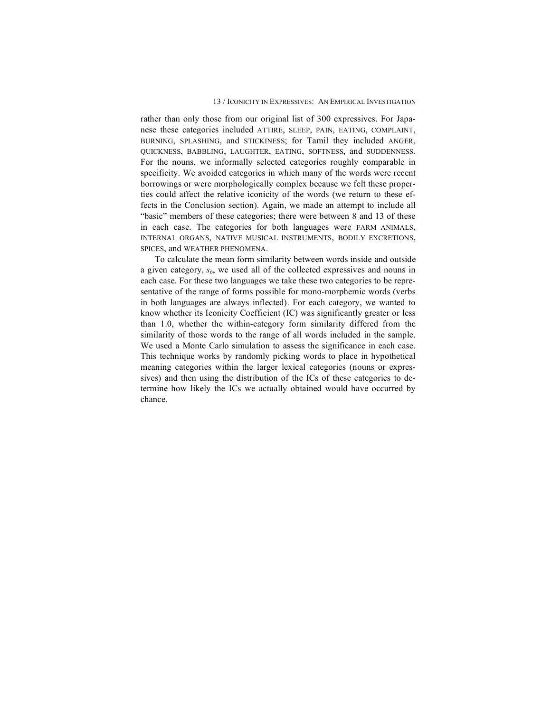#### 13 / ICONICITY IN EXPRESSIVES: AN EMPIRICAL INVESTIGATION

rather than only those from our original list of 300 expressives. For Japanese these categories included ATTIRE, SLEEP, PAIN, EATING, COMPLAINT, BURNING, SPLASHING, and STICKINESS; for Tamil they included ANGER, QUICKNESS, BABBLING, LAUGHTER, EATING, SOFTNESS, and SUDDENNESS. For the nouns, we informally selected categories roughly comparable in specificity. We avoided categories in which many of the words were recent borrowings or were morphologically complex because we felt these properties could affect the relative iconicity of the words (we return to these effects in the Conclusion section). Again, we made an attempt to include all "basic" members of these categories; there were between 8 and 13 of these in each case. The categories for both languages were FARM ANIMALS, INTERNAL ORGANS, NATIVE MUSICAL INSTRUMENTS, BODILY EXCRETIONS, SPICES, and WEATHER PHENOMENA.

To calculate the mean form similarity between words inside and outside a given category, *sb*, we used all of the collected expressives and nouns in each case. For these two languages we take these two categories to be representative of the range of forms possible for mono-morphemic words (verbs in both languages are always inflected). For each category, we wanted to know whether its Iconicity Coefficient (IC) was significantly greater or less than 1.0, whether the within-category form similarity differed from the similarity of those words to the range of all words included in the sample. We used a Monte Carlo simulation to assess the significance in each case. This technique works by randomly picking words to place in hypothetical meaning categories within the larger lexical categories (nouns or expressives) and then using the distribution of the ICs of these categories to determine how likely the ICs we actually obtained would have occurred by chance.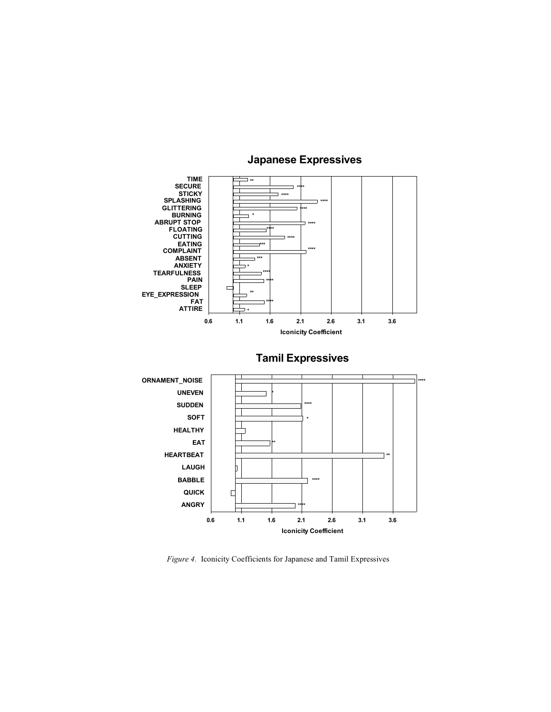

## **Japanese Expressives**

*Figure 4.* Iconicity Coefficients for Japanese and Tamil Expressives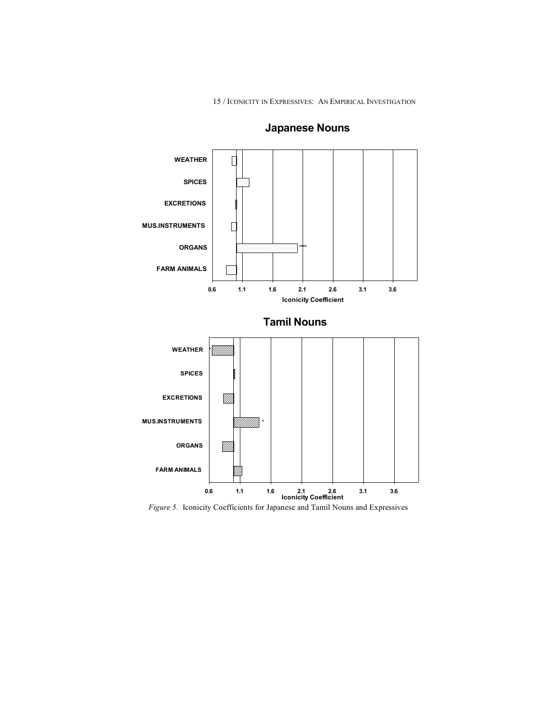15 / ICONICITY IN EXPRESSIVES: AN EMPIRICAL INVESTIGATION



## **Japanese Nouns**

*Figure 5.* Iconicity Coefficients for Japanese and Tamil Nouns and Expressives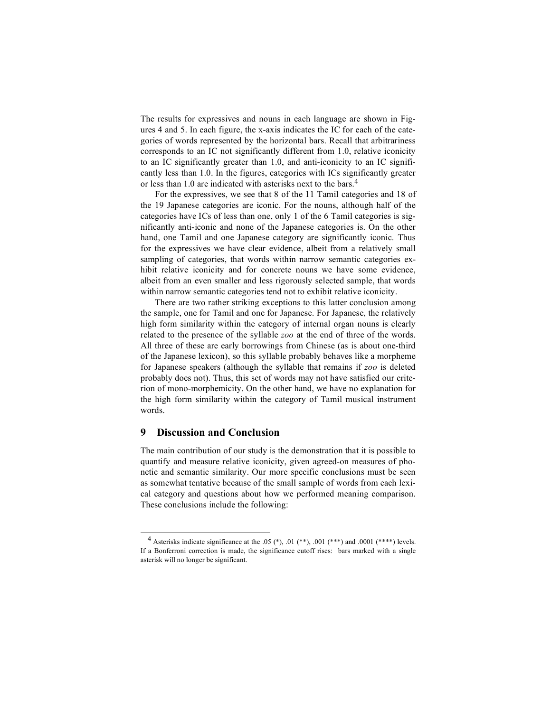The results for expressives and nouns in each language are shown in Figures 4 and 5. In each figure, the x-axis indicates the IC for each of the categories of words represented by the horizontal bars. Recall that arbitrariness corresponds to an IC not significantly different from 1.0, relative iconicity to an IC significantly greater than 1.0, and anti-iconicity to an IC significantly less than 1.0. In the figures, categories with ICs significantly greater or less than 1.0 are indicated with asterisks next to the bars. 4

For the expressives, we see that 8 of the 11 Tamil categories and 18 of the 19 Japanese categories are iconic. For the nouns, although half of the categories have ICs of less than one, only 1 of the 6 Tamil categories is significantly anti-iconic and none of the Japanese categories is. On the other hand, one Tamil and one Japanese category are significantly iconic. Thus for the expressives we have clear evidence, albeit from a relatively small sampling of categories, that words within narrow semantic categories exhibit relative iconicity and for concrete nouns we have some evidence, albeit from an even smaller and less rigorously selected sample, that words within narrow semantic categories tend not to exhibit relative iconicity.

There are two rather striking exceptions to this latter conclusion among the sample, one for Tamil and one for Japanese. For Japanese, the relatively high form similarity within the category of internal organ nouns is clearly related to the presence of the syllable *zoo* at the end of three of the words. All three of these are early borrowings from Chinese (as is about one-third of the Japanese lexicon), so this syllable probably behaves like a morpheme for Japanese speakers (although the syllable that remains if *zoo* is deleted probably does not). Thus, this set of words may not have satisfied our criterion of mono-morphemicity. On the other hand, we have no explanation for the high form similarity within the category of Tamil musical instrument words.

## **9 Discussion and Conclusion**

The main contribution of our study is the demonstration that it is possible to quantify and measure relative iconicity, given agreed-on measures of phonetic and semantic similarity. Our more specific conclusions must be seen as somewhat tentative because of the small sample of words from each lexical category and questions about how we performed meaning comparison. These conclusions include the following:

<sup>&</sup>lt;sup>4</sup> Asterisks indicate significance at the .05  $(*)$ , .01  $(**)$ , .001  $(***)$  and .0001  $(***)$  levels. If a Bonferroni correction is made, the significance cutoff rises: bars marked with a single asterisk will no longer be significant.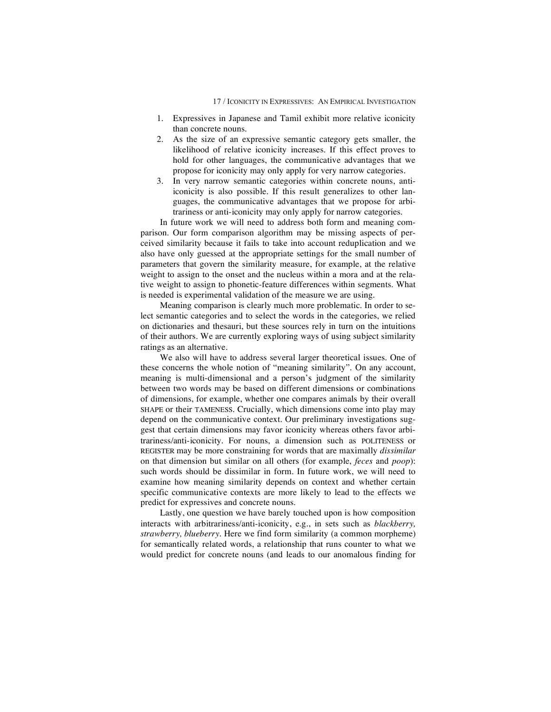- 1. Expressives in Japanese and Tamil exhibit more relative iconicity than concrete nouns.
- 2. As the size of an expressive semantic category gets smaller, the likelihood of relative iconicity increases. If this effect proves to hold for other languages, the communicative advantages that we propose for iconicity may only apply for very narrow categories.
- 3. In very narrow semantic categories within concrete nouns, antiiconicity is also possible. If this result generalizes to other languages, the communicative advantages that we propose for arbitrariness or anti-iconicity may only apply for narrow categories.

In future work we will need to address both form and meaning comparison. Our form comparison algorithm may be missing aspects of perceived similarity because it fails to take into account reduplication and we also have only guessed at the appropriate settings for the small number of parameters that govern the similarity measure, for example, at the relative weight to assign to the onset and the nucleus within a mora and at the relative weight to assign to phonetic-feature differences within segments. What is needed is experimental validation of the measure we are using.

Meaning comparison is clearly much more problematic. In order to select semantic categories and to select the words in the categories, we relied on dictionaries and thesauri, but these sources rely in turn on the intuitions of their authors. We are currently exploring ways of using subject similarity ratings as an alternative.

We also will have to address several larger theoretical issues. One of these concerns the whole notion of "meaning similarity". On any account, meaning is multi-dimensional and a person's judgment of the similarity between two words may be based on different dimensions or combinations of dimensions, for example, whether one compares animals by their overall SHAPE or their TAMENESS. Crucially, which dimensions come into play may depend on the communicative context. Our preliminary investigations suggest that certain dimensions may favor iconicity whereas others favor arbitrariness/anti-iconicity. For nouns, a dimension such as POLITENESS or REGISTER may be more constraining for words that are maximally *dissimilar* on that dimension but similar on all others (for example, *feces* and *poop*): such words should be dissimilar in form. In future work, we will need to examine how meaning similarity depends on context and whether certain specific communicative contexts are more likely to lead to the effects we predict for expressives and concrete nouns.

Lastly, one question we have barely touched upon is how composition interacts with arbitrariness/anti-iconicity, e.g., in sets such as *blackberry, strawberry, blueberry*. Here we find form similarity (a common morpheme) for semantically related words, a relationship that runs counter to what we would predict for concrete nouns (and leads to our anomalous finding for